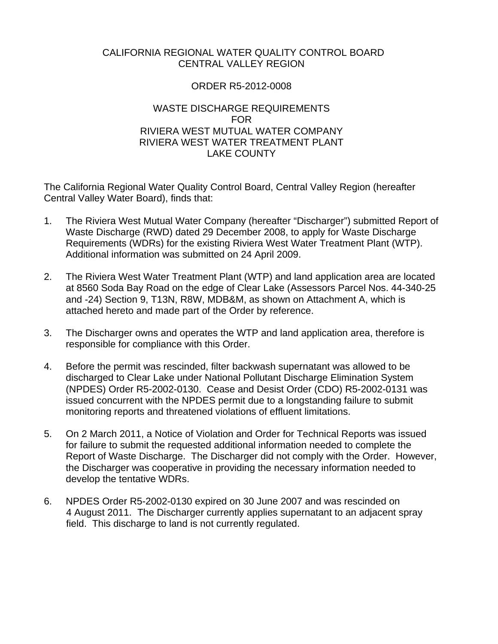#### CALIFORNIA REGIONAL WATER QUALITY CONTROL BOARD CENTRAL VALLEY REGION

#### ORDER R5-2012-0008

#### WASTE DISCHARGE REQUIREMENTS FOR RIVIERA WEST MUTUAL WATER COMPANY RIVIERA WEST WATER TREATMENT PLANT LAKE COUNTY

The California Regional Water Quality Control Board, Central Valley Region (hereafter Central Valley Water Board), finds that:

- 1. The Riviera West Mutual Water Company (hereafter "Discharger") submitted Report of Waste Discharge (RWD) dated 29 December 2008, to apply for Waste Discharge Requirements (WDRs) for the existing Riviera West Water Treatment Plant (WTP). Additional information was submitted on 24 April 2009.
- 2. The Riviera West Water Treatment Plant (WTP) and land application area are located at 8560 Soda Bay Road on the edge of Clear Lake (Assessors Parcel Nos. 44-340-25 and -24) Section 9, T13N, R8W, MDB&M, as shown on Attachment A, which is attached hereto and made part of the Order by reference.
- 3. The Discharger owns and operates the WTP and land application area, therefore is responsible for compliance with this Order.
- 4. Before the permit was rescinded, filter backwash supernatant was allowed to be discharged to Clear Lake under National Pollutant Discharge Elimination System (NPDES) Order R5-2002-0130. Cease and Desist Order (CDO) R5-2002-0131 was issued concurrent with the NPDES permit due to a longstanding failure to submit monitoring reports and threatened violations of effluent limitations.
- 5. On 2 March 2011, a Notice of Violation and Order for Technical Reports was issued for failure to submit the requested additional information needed to complete the Report of Waste Discharge. The Discharger did not comply with the Order. However, the Discharger was cooperative in providing the necessary information needed to develop the tentative WDRs.
- 6. NPDES Order R5-2002-0130 expired on 30 June 2007 and was rescinded on 4 August 2011. The Discharger currently applies supernatant to an adjacent spray field. This discharge to land is not currently regulated.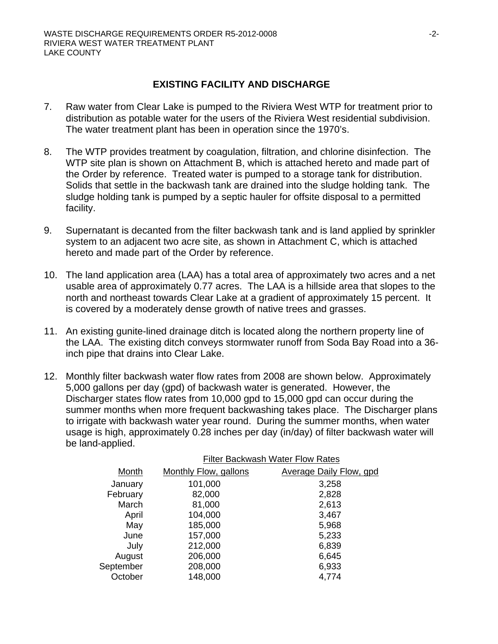#### **EXISTING FACILITY AND DISCHARGE**

- 7. Raw water from Clear Lake is pumped to the Riviera West WTP for treatment prior to distribution as potable water for the users of the Riviera West residential subdivision. The water treatment plant has been in operation since the 1970's.
- 8. The WTP provides treatment by coagulation, filtration, and chlorine disinfection. The WTP site plan is shown on Attachment B, which is attached hereto and made part of the Order by reference. Treated water is pumped to a storage tank for distribution. Solids that settle in the backwash tank are drained into the sludge holding tank. The sludge holding tank is pumped by a septic hauler for offsite disposal to a permitted facility.
- 9. Supernatant is decanted from the filter backwash tank and is land applied by sprinkler system to an adjacent two acre site, as shown in Attachment C, which is attached hereto and made part of the Order by reference.
- 10. The land application area (LAA) has a total area of approximately two acres and a net usable area of approximately 0.77 acres. The LAA is a hillside area that slopes to the north and northeast towards Clear Lake at a gradient of approximately 15 percent. It is covered by a moderately dense growth of native trees and grasses.
- 11. An existing gunite-lined drainage ditch is located along the northern property line of the LAA. The existing ditch conveys stormwater runoff from Soda Bay Road into a 36 inch pipe that drains into Clear Lake.
- 12. Monthly filter backwash water flow rates from 2008 are shown below. Approximately 5,000 gallons per day (gpd) of backwash water is generated. However, the Discharger states flow rates from 10,000 gpd to 15,000 gpd can occur during the summer months when more frequent backwashing takes place. The Discharger plans to irrigate with backwash water year round. During the summer months, when water usage is high, approximately 0.28 inches per day (in/day) of filter backwash water will be land-applied.

|           |                       | Filter Backwash Water Flow Rates |  |  |
|-----------|-----------------------|----------------------------------|--|--|
| Month     | Monthly Flow, gallons | Average Daily Flow, gpd          |  |  |
| January   | 101,000               | 3,258                            |  |  |
| February  | 82,000                | 2,828                            |  |  |
| March     | 81,000                | 2,613                            |  |  |
| April     | 104,000               | 3,467                            |  |  |
| May       | 185,000               | 5,968                            |  |  |
| June      | 157,000               | 5,233                            |  |  |
| July      | 212,000               | 6,839                            |  |  |
| August    | 206,000               | 6,645                            |  |  |
| September | 208,000               | 6,933                            |  |  |
| October   | 148,000               | 4,774                            |  |  |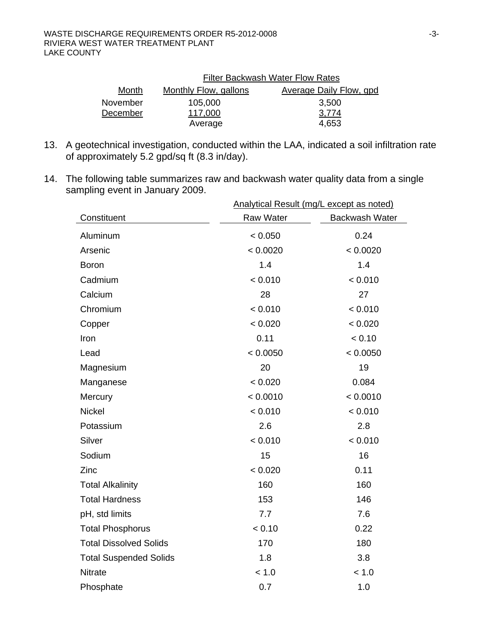|          | <b>Filter Backwash Water Flow Rates</b> |                                |  |
|----------|-----------------------------------------|--------------------------------|--|
| Month    | <b>Monthly Flow, gallons</b>            | <b>Average Daily Flow, gpd</b> |  |
| November | 105,000                                 | 3,500                          |  |
| December | 117,000                                 | 3,774                          |  |
|          | Average                                 | 4,653                          |  |

- 13. A geotechnical investigation, conducted within the LAA, indicated a soil infiltration rate of approximately 5.2 gpd/sq ft (8.3 in/day).
- 14. The following table summarizes raw and backwash water quality data from a single sampling event in January 2009.

|                               | Analytical Result (mg/L except as noted) |                |
|-------------------------------|------------------------------------------|----------------|
| Constituent                   | Raw Water                                | Backwash Water |
| Aluminum                      | < 0.050                                  | 0.24           |
| Arsenic                       | < 0.0020                                 | < 0.0020       |
| <b>Boron</b>                  | 1.4                                      | 1.4            |
| Cadmium                       | < 0.010                                  | < 0.010        |
| Calcium                       | 28                                       | 27             |
| Chromium                      | < 0.010                                  | < 0.010        |
| Copper                        | < 0.020                                  | < 0.020        |
| Iron                          | 0.11                                     | < 0.10         |
| Lead                          | < 0.0050                                 | < 0.0050       |
| Magnesium                     | 20                                       | 19             |
| Manganese                     | < 0.020                                  | 0.084          |
| Mercury                       | < 0.0010                                 | < 0.0010       |
| <b>Nickel</b>                 | < 0.010                                  | < 0.010        |
| Potassium                     | 2.6                                      | 2.8            |
| Silver                        | < 0.010                                  | < 0.010        |
| Sodium                        | 15                                       | 16             |
| Zinc                          | < 0.020                                  | 0.11           |
| <b>Total Alkalinity</b>       | 160                                      | 160            |
| <b>Total Hardness</b>         | 153                                      | 146            |
| pH, std limits                | 7.7                                      | 7.6            |
| <b>Total Phosphorus</b>       | < 0.10                                   | 0.22           |
| <b>Total Dissolved Solids</b> | 170                                      | 180            |
| <b>Total Suspended Solids</b> | 1.8                                      | 3.8            |
| <b>Nitrate</b>                | < 1.0                                    | < 1.0          |
| Phosphate                     | 0.7                                      | 1.0            |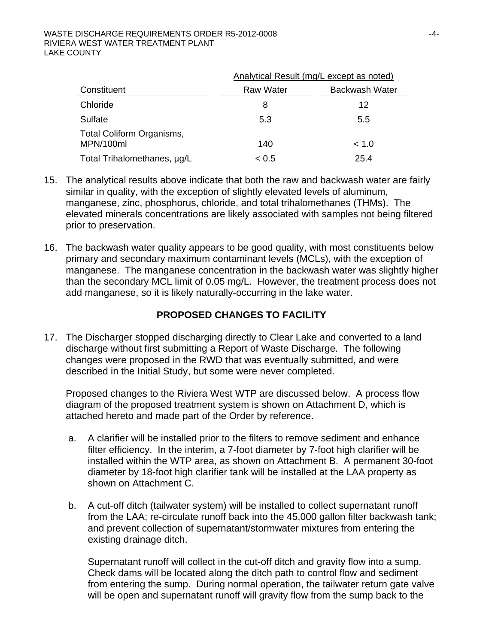#### WASTE DISCHARGE REQUIREMENTS ORDER R5-2012-0008  $-4$ -RIVIERA WEST WATER TREATMENT PLANT LAKE COUNTY

|                                        | Analytical Result (mg/L except as noted) |                |  |
|----------------------------------------|------------------------------------------|----------------|--|
| Constituent                            | <b>Raw Water</b>                         | Backwash Water |  |
| Chloride                               | 8                                        | 12             |  |
| Sulfate                                | 5.3                                      | 5.5            |  |
| Total Coliform Organisms,<br>MPN/100ml | 140                                      | ~< 1.0         |  |
| Total Trihalomethanes, µg/L            | ~< 0.5                                   | 25.4           |  |

- 15. The analytical results above indicate that both the raw and backwash water are fairly similar in quality, with the exception of slightly elevated levels of aluminum, manganese, zinc, phosphorus, chloride, and total trihalomethanes (THMs). The elevated minerals concentrations are likely associated with samples not being filtered prior to preservation.
- 16. The backwash water quality appears to be good quality, with most constituents below primary and secondary maximum contaminant levels (MCLs), with the exception of manganese. The manganese concentration in the backwash water was slightly higher than the secondary MCL limit of 0.05 mg/L. However, the treatment process does not add manganese, so it is likely naturally-occurring in the lake water.

#### **PROPOSED CHANGES TO FACILITY**

17. The Discharger stopped discharging directly to Clear Lake and converted to a land discharge without first submitting a Report of Waste Discharge. The following changes were proposed in the RWD that was eventually submitted, and were described in the Initial Study, but some were never completed.

Proposed changes to the Riviera West WTP are discussed below. A process flow diagram of the proposed treatment system is shown on Attachment D, which is attached hereto and made part of the Order by reference.

- a. A clarifier will be installed prior to the filters to remove sediment and enhance filter efficiency. In the interim, a 7-foot diameter by 7-foot high clarifier will be installed within the WTP area, as shown on Attachment B. A permanent 30-foot diameter by 18-foot high clarifier tank will be installed at the LAA property as shown on Attachment C.
- b. A cut-off ditch (tailwater system) will be installed to collect supernatant runoff from the LAA; re-circulate runoff back into the 45,000 gallon filter backwash tank; and prevent collection of supernatant/stormwater mixtures from entering the existing drainage ditch.

Supernatant runoff will collect in the cut-off ditch and gravity flow into a sump. Check dams will be located along the ditch path to control flow and sediment from entering the sump. During normal operation, the tailwater return gate valve will be open and supernatant runoff will gravity flow from the sump back to the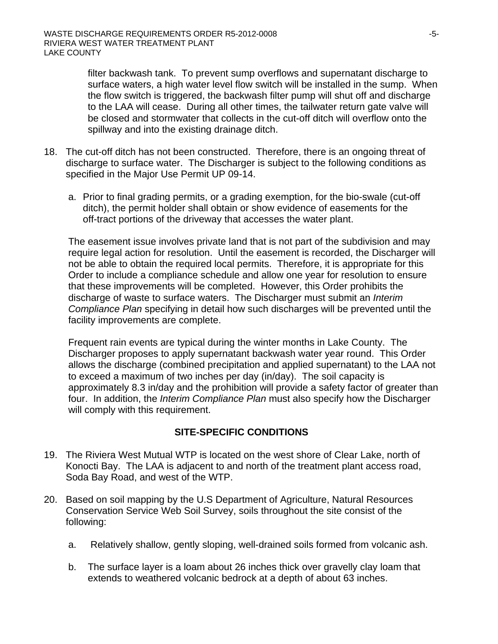filter backwash tank. To prevent sump overflows and supernatant discharge to surface waters, a high water level flow switch will be installed in the sump. When the flow switch is triggered, the backwash filter pump will shut off and discharge to the LAA will cease. During all other times, the tailwater return gate valve will be closed and stormwater that collects in the cut-off ditch will overflow onto the spillway and into the existing drainage ditch.

- 18. The cut-off ditch has not been constructed. Therefore, there is an ongoing threat of discharge to surface water. The Discharger is subject to the following conditions as specified in the Major Use Permit UP 09-14.
	- a. Prior to final grading permits, or a grading exemption, for the bio-swale (cut-off ditch), the permit holder shall obtain or show evidence of easements for the off-tract portions of the driveway that accesses the water plant.

The easement issue involves private land that is not part of the subdivision and may require legal action for resolution. Until the easement is recorded, the Discharger will not be able to obtain the required local permits. Therefore, it is appropriate for this Order to include a compliance schedule and allow one year for resolution to ensure that these improvements will be completed. However, this Order prohibits the discharge of waste to surface waters. The Discharger must submit an *Interim Compliance Plan* specifying in detail how such discharges will be prevented until the facility improvements are complete.

Frequent rain events are typical during the winter months in Lake County. The Discharger proposes to apply supernatant backwash water year round. This Order allows the discharge (combined precipitation and applied supernatant) to the LAA not to exceed a maximum of two inches per day (in/day). The soil capacity is approximately 8.3 in/day and the prohibition will provide a safety factor of greater than four. In addition, the *Interim Compliance Plan* must also specify how the Discharger will comply with this requirement.

#### **SITE-SPECIFIC CONDITIONS**

- 19. The Riviera West Mutual WTP is located on the west shore of Clear Lake, north of Konocti Bay. The LAA is adjacent to and north of the treatment plant access road, Soda Bay Road, and west of the WTP.
- 20. Based on soil mapping by the U.S Department of Agriculture, Natural Resources Conservation Service Web Soil Survey, soils throughout the site consist of the following:
	- a. Relatively shallow, gently sloping, well-drained soils formed from volcanic ash.
	- b. The surface layer is a loam about 26 inches thick over gravelly clay loam that extends to weathered volcanic bedrock at a depth of about 63 inches.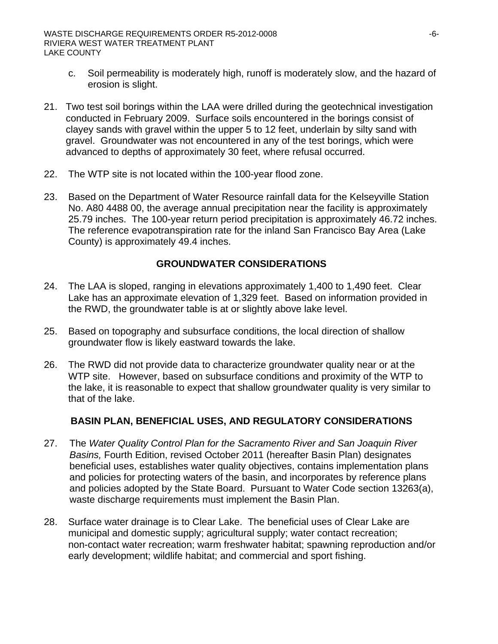- c. Soil permeability is moderately high, runoff is moderately slow, and the hazard of erosion is slight.
- 21. Two test soil borings within the LAA were drilled during the geotechnical investigation conducted in February 2009. Surface soils encountered in the borings consist of clayey sands with gravel within the upper 5 to 12 feet, underlain by silty sand with gravel. Groundwater was not encountered in any of the test borings, which were advanced to depths of approximately 30 feet, where refusal occurred.
- 22. The WTP site is not located within the 100-year flood zone.
- 23. Based on the Department of Water Resource rainfall data for the Kelseyville Station No. A80 4488 00, the average annual precipitation near the facility is approximately 25.79 inches. The 100-year return period precipitation is approximately 46.72 inches. The reference evapotranspiration rate for the inland San Francisco Bay Area (Lake County) is approximately 49.4 inches.

### **GROUNDWATER CONSIDERATIONS**

- 24. The LAA is sloped, ranging in elevations approximately 1,400 to 1,490 feet. Clear Lake has an approximate elevation of 1,329 feet. Based on information provided in the RWD, the groundwater table is at or slightly above lake level.
- 25. Based on topography and subsurface conditions, the local direction of shallow groundwater flow is likely eastward towards the lake.
- 26. The RWD did not provide data to characterize groundwater quality near or at the WTP site. However, based on subsurface conditions and proximity of the WTP to the lake, it is reasonable to expect that shallow groundwater quality is very similar to that of the lake.

# **BASIN PLAN, BENEFICIAL USES, AND REGULATORY CONSIDERATIONS**

- 27. The *Water Quality Control Plan for the Sacramento River and San Joaquin River Basins,* Fourth Edition, revised October 2011 (hereafter Basin Plan) designates beneficial uses, establishes water quality objectives, contains implementation plans and policies for protecting waters of the basin, and incorporates by reference plans and policies adopted by the State Board. Pursuant to Water Code section 13263(a), waste discharge requirements must implement the Basin Plan.
- 28. Surface water drainage is to Clear Lake. The beneficial uses of Clear Lake are municipal and domestic supply; agricultural supply; water contact recreation; non-contact water recreation; warm freshwater habitat; spawning reproduction and/or early development; wildlife habitat; and commercial and sport fishing.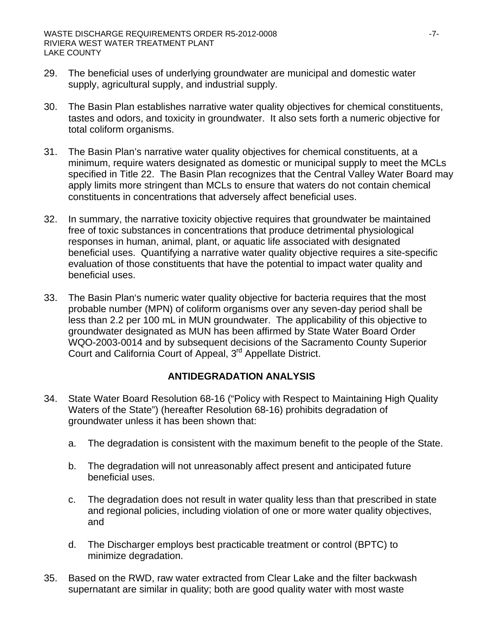- 29. The beneficial uses of underlying groundwater are municipal and domestic water supply, agricultural supply, and industrial supply.
- 30. The Basin Plan establishes narrative water quality objectives for chemical constituents, tastes and odors, and toxicity in groundwater. It also sets forth a numeric objective for total coliform organisms.
- 31. The Basin Plan's narrative water quality objectives for chemical constituents, at a minimum, require waters designated as domestic or municipal supply to meet the MCLs specified in Title 22. The Basin Plan recognizes that the Central Valley Water Board may apply limits more stringent than MCLs to ensure that waters do not contain chemical constituents in concentrations that adversely affect beneficial uses.
- 32. In summary, the narrative toxicity objective requires that groundwater be maintained free of toxic substances in concentrations that produce detrimental physiological responses in human, animal, plant, or aquatic life associated with designated beneficial uses. Quantifying a narrative water quality objective requires a site-specific evaluation of those constituents that have the potential to impact water quality and beneficial uses.
- 33. The Basin Plan's numeric water quality objective for bacteria requires that the most probable number (MPN) of coliform organisms over any seven-day period shall be less than 2.2 per 100 mL in MUN groundwater. The applicability of this objective to groundwater designated as MUN has been affirmed by State Water Board Order WQO-2003-0014 and by subsequent decisions of the Sacramento County Superior Court and California Court of Appeal, 3<sup>rd</sup> Appellate District.

#### **ANTIDEGRADATION ANALYSIS**

- 34. State Water Board Resolution 68-16 ("Policy with Respect to Maintaining High Quality Waters of the State") (hereafter Resolution 68-16) prohibits degradation of groundwater unless it has been shown that:
	- a. The degradation is consistent with the maximum benefit to the people of the State.
	- b. The degradation will not unreasonably affect present and anticipated future beneficial uses.
	- c. The degradation does not result in water quality less than that prescribed in state and regional policies, including violation of one or more water quality objectives, and
	- d. The Discharger employs best practicable treatment or control (BPTC) to minimize degradation.
- 35. Based on the RWD, raw water extracted from Clear Lake and the filter backwash supernatant are similar in quality; both are good quality water with most waste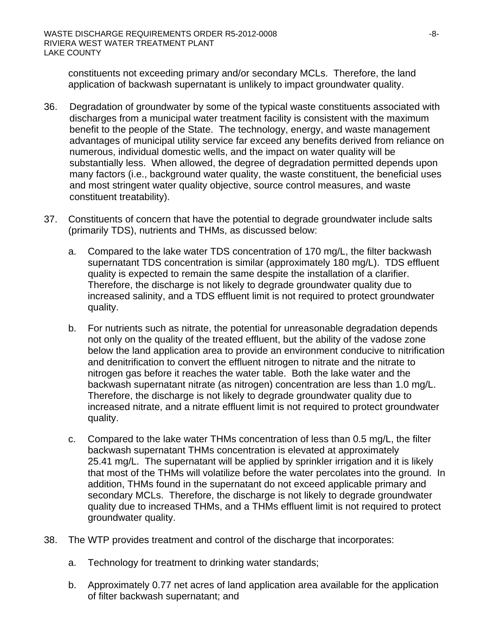constituents not exceeding primary and/or secondary MCLs. Therefore, the land application of backwash supernatant is unlikely to impact groundwater quality.

- 36. Degradation of groundwater by some of the typical waste constituents associated with discharges from a municipal water treatment facility is consistent with the maximum benefit to the people of the State. The technology, energy, and waste management advantages of municipal utility service far exceed any benefits derived from reliance on numerous, individual domestic wells, and the impact on water quality will be substantially less. When allowed, the degree of degradation permitted depends upon many factors (i.e., background water quality, the waste constituent, the beneficial uses and most stringent water quality objective, source control measures, and waste constituent treatability).
- 37. Constituents of concern that have the potential to degrade groundwater include salts (primarily TDS), nutrients and THMs, as discussed below:
	- a. Compared to the lake water TDS concentration of 170 mg/L, the filter backwash supernatant TDS concentration is similar (approximately 180 mg/L). TDS effluent quality is expected to remain the same despite the installation of a clarifier. Therefore, the discharge is not likely to degrade groundwater quality due to increased salinity, and a TDS effluent limit is not required to protect groundwater quality.
	- b. For nutrients such as nitrate, the potential for unreasonable degradation depends not only on the quality of the treated effluent, but the ability of the vadose zone below the land application area to provide an environment conducive to nitrification and denitrification to convert the effluent nitrogen to nitrate and the nitrate to nitrogen gas before it reaches the water table. Both the lake water and the backwash supernatant nitrate (as nitrogen) concentration are less than 1.0 mg/L. Therefore, the discharge is not likely to degrade groundwater quality due to increased nitrate, and a nitrate effluent limit is not required to protect groundwater quality.
	- c. Compared to the lake water THMs concentration of less than 0.5 mg/L, the filter backwash supernatant THMs concentration is elevated at approximately 25.41 mg/L. The supernatant will be applied by sprinkler irrigation and it is likely that most of the THMs will volatilize before the water percolates into the ground. In addition, THMs found in the supernatant do not exceed applicable primary and secondary MCLs. Therefore, the discharge is not likely to degrade groundwater quality due to increased THMs, and a THMs effluent limit is not required to protect groundwater quality.
- 38. The WTP provides treatment and control of the discharge that incorporates:
	- a. Technology for treatment to drinking water standards;
	- b. Approximately 0.77 net acres of land application area available for the application of filter backwash supernatant; and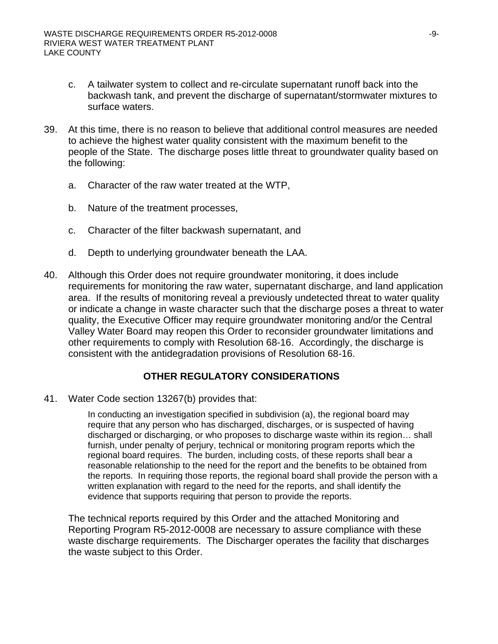- c. A tailwater system to collect and re-circulate supernatant runoff back into the backwash tank, and prevent the discharge of supernatant/stormwater mixtures to surface waters.
- 39. At this time, there is no reason to believe that additional control measures are needed to achieve the highest water quality consistent with the maximum benefit to the people of the State. The discharge poses little threat to groundwater quality based on the following:
	- a. Character of the raw water treated at the WTP,
	- b. Nature of the treatment processes,
	- c. Character of the filter backwash supernatant, and
	- d. Depth to underlying groundwater beneath the LAA.
- 40. Although this Order does not require groundwater monitoring, it does include requirements for monitoring the raw water, supernatant discharge, and land application area. If the results of monitoring reveal a previously undetected threat to water quality or indicate a change in waste character such that the discharge poses a threat to water quality, the Executive Officer may require groundwater monitoring and/or the Central Valley Water Board may reopen this Order to reconsider groundwater limitations and other requirements to comply with Resolution 68-16. Accordingly, the discharge is consistent with the antidegradation provisions of Resolution 68-16.

#### **OTHER REGULATORY CONSIDERATIONS**

41. Water Code section 13267(b) provides that:

In conducting an investigation specified in subdivision (a), the regional board may require that any person who has discharged, discharges, or is suspected of having discharged or discharging, or who proposes to discharge waste within its region… shall furnish, under penalty of perjury, technical or monitoring program reports which the regional board requires. The burden, including costs, of these reports shall bear a reasonable relationship to the need for the report and the benefits to be obtained from the reports. In requiring those reports, the regional board shall provide the person with a written explanation with regard to the need for the reports, and shall identify the evidence that supports requiring that person to provide the reports.

The technical reports required by this Order and the attached Monitoring and Reporting Program R5-2012-0008 are necessary to assure compliance with these waste discharge requirements. The Discharger operates the facility that discharges the waste subject to this Order.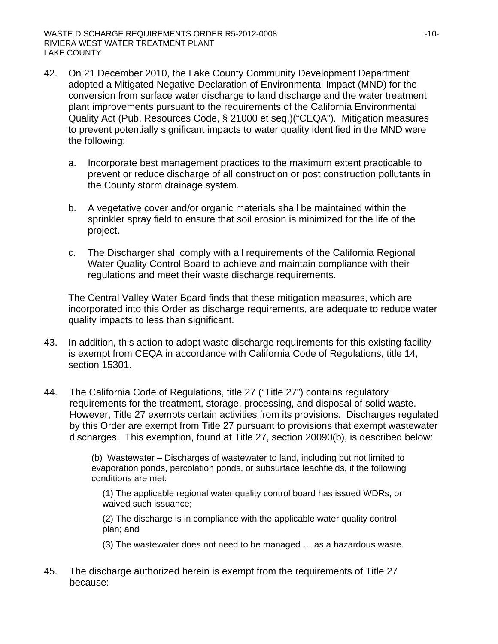- 42. On 21 December 2010, the Lake County Community Development Department adopted a Mitigated Negative Declaration of Environmental Impact (MND) for the conversion from surface water discharge to land discharge and the water treatment plant improvements pursuant to the requirements of the California Environmental Quality Act (Pub. Resources Code, § 21000 et seq.)("CEQA"). Mitigation measures to prevent potentially significant impacts to water quality identified in the MND were the following:
	- a. Incorporate best management practices to the maximum extent practicable to prevent or reduce discharge of all construction or post construction pollutants in the County storm drainage system.
	- b. A vegetative cover and/or organic materials shall be maintained within the sprinkler spray field to ensure that soil erosion is minimized for the life of the project.
	- c. The Discharger shall comply with all requirements of the California Regional Water Quality Control Board to achieve and maintain compliance with their regulations and meet their waste discharge requirements.

The Central Valley Water Board finds that these mitigation measures, which are incorporated into this Order as discharge requirements, are adequate to reduce water quality impacts to less than significant.

- 43. In addition, this action to adopt waste discharge requirements for this existing facility is exempt from CEQA in accordance with California Code of Regulations, title 14, section 15301.
- 44. The California Code of Regulations, title 27 ("Title 27") contains regulatory requirements for the treatment, storage, processing, and disposal of solid waste. However, Title 27 exempts certain activities from its provisions. Discharges regulated by this Order are exempt from Title 27 pursuant to provisions that exempt wastewater discharges. This exemption, found at Title 27, section 20090(b), is described below:

(b) Wastewater – Discharges of wastewater to land, including but not limited to evaporation ponds, percolation ponds, or subsurface leachfields, if the following conditions are met:

(1) The applicable regional water quality control board has issued WDRs, or waived such issuance;

(2) The discharge is in compliance with the applicable water quality control plan; and

(3) The wastewater does not need to be managed … as a hazardous waste.

45. The discharge authorized herein is exempt from the requirements of Title 27 because: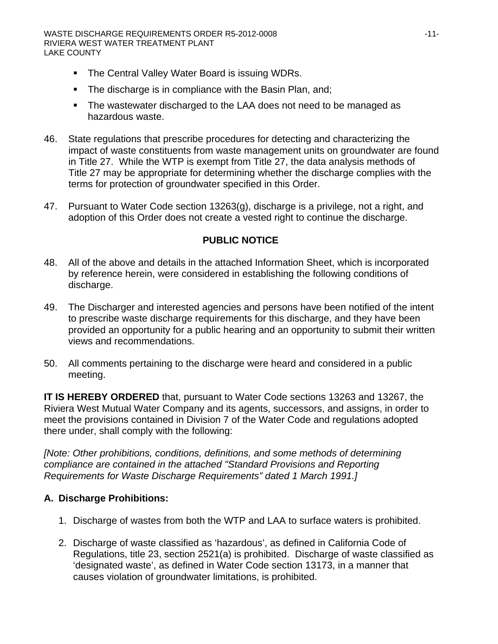- The Central Valley Water Board is issuing WDRs.
- **The discharge is in compliance with the Basin Plan, and;**
- The wastewater discharged to the LAA does not need to be managed as hazardous waste.
- 46. State regulations that prescribe procedures for detecting and characterizing the impact of waste constituents from waste management units on groundwater are found in Title 27. While the WTP is exempt from Title 27, the data analysis methods of Title 27 may be appropriate for determining whether the discharge complies with the terms for protection of groundwater specified in this Order.
- 47. Pursuant to Water Code section 13263(g), discharge is a privilege, not a right, and adoption of this Order does not create a vested right to continue the discharge.

### **PUBLIC NOTICE**

- 48. All of the above and details in the attached Information Sheet, which is incorporated by reference herein, were considered in establishing the following conditions of discharge.
- 49. The Discharger and interested agencies and persons have been notified of the intent to prescribe waste discharge requirements for this discharge, and they have been provided an opportunity for a public hearing and an opportunity to submit their written views and recommendations.
- 50. All comments pertaining to the discharge were heard and considered in a public meeting.

**IT IS HEREBY ORDERED** that, pursuant to Water Code sections 13263 and 13267, the Riviera West Mutual Water Company and its agents, successors, and assigns, in order to meet the provisions contained in Division 7 of the Water Code and regulations adopted there under, shall comply with the following:

*[Note: Other prohibitions, conditions, definitions, and some methods of determining compliance are contained in the attached "Standard Provisions and Reporting Requirements for Waste Discharge Requirements" dated 1 March 1991.]* 

# **A. Discharge Prohibitions:**

- 1. Discharge of wastes from both the WTP and LAA to surface waters is prohibited.
- 2. Discharge of waste classified as 'hazardous', as defined in California Code of Regulations, title 23, section 2521(a) is prohibited. Discharge of waste classified as 'designated waste', as defined in Water Code section 13173, in a manner that causes violation of groundwater limitations, is prohibited.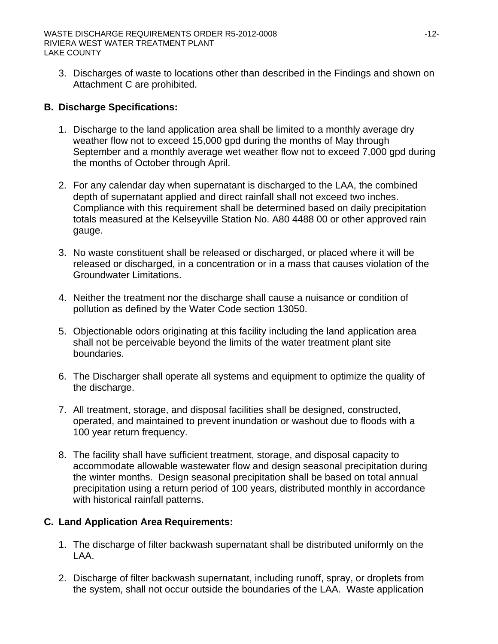3. Discharges of waste to locations other than described in the Findings and shown on Attachment C are prohibited.

## **B. Discharge Specifications:**

- 1. Discharge to the land application area shall be limited to a monthly average dry weather flow not to exceed 15,000 gpd during the months of May through September and a monthly average wet weather flow not to exceed 7,000 gpd during the months of October through April.
- 2. For any calendar day when supernatant is discharged to the LAA, the combined depth of supernatant applied and direct rainfall shall not exceed two inches. Compliance with this requirement shall be determined based on daily precipitation totals measured at the Kelseyville Station No. A80 4488 00 or other approved rain gauge.
- 3. No waste constituent shall be released or discharged, or placed where it will be released or discharged, in a concentration or in a mass that causes violation of the Groundwater Limitations.
- 4. Neither the treatment nor the discharge shall cause a nuisance or condition of pollution as defined by the Water Code section 13050.
- 5. Objectionable odors originating at this facility including the land application area shall not be perceivable beyond the limits of the water treatment plant site boundaries.
- 6. The Discharger shall operate all systems and equipment to optimize the quality of the discharge.
- 7. All treatment, storage, and disposal facilities shall be designed, constructed, operated, and maintained to prevent inundation or washout due to floods with a 100 year return frequency.
- 8. The facility shall have sufficient treatment, storage, and disposal capacity to accommodate allowable wastewater flow and design seasonal precipitation during the winter months. Design seasonal precipitation shall be based on total annual precipitation using a return period of 100 years, distributed monthly in accordance with historical rainfall patterns.

# **C. Land Application Area Requirements:**

- 1. The discharge of filter backwash supernatant shall be distributed uniformly on the LAA.
- 2. Discharge of filter backwash supernatant, including runoff, spray, or droplets from the system, shall not occur outside the boundaries of the LAA. Waste application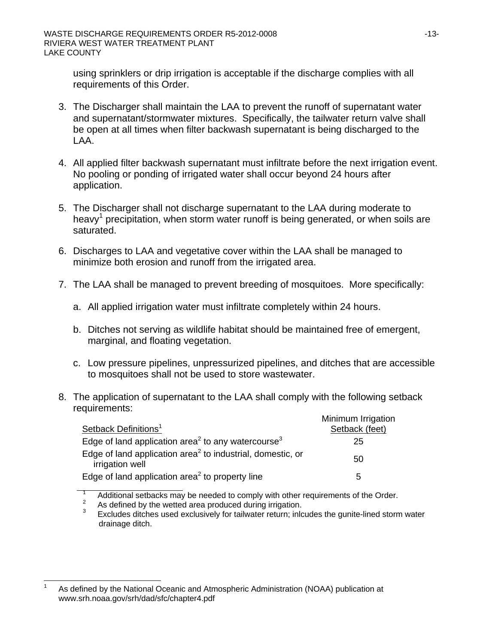using sprinklers or drip irrigation is acceptable if the discharge complies with all requirements of this Order.

- 3. The Discharger shall maintain the LAA to prevent the runoff of supernatant water and supernatant/stormwater mixtures. Specifically, the tailwater return valve shall be open at all times when filter backwash supernatant is being discharged to the LAA.
- 4. All applied filter backwash supernatant must infiltrate before the next irrigation event. No pooling or ponding of irrigated water shall occur beyond 24 hours after application.
- 5. The Discharger shall not discharge supernatant to the LAA during moderate to heavy<sup>1</sup> precipitation, when storm water runoff is being generated, or when soils are saturated.
- 6. Discharges to LAA and vegetative cover within the LAA shall be managed to minimize both erosion and runoff from the irrigated area.
- 7. The LAA shall be managed to prevent breeding of mosquitoes. More specifically:
	- a. All applied irrigation water must infiltrate completely within 24 hours.
	- b. Ditches not serving as wildlife habitat should be maintained free of emergent, marginal, and floating vegetation.
	- c. Low pressure pipelines, unpressurized pipelines, and ditches that are accessible to mosquitoes shall not be used to store wastewater.
- 8. The application of supernatant to the LAA shall comply with the following setback requirements:

| Setback Definitions <sup>1</sup>                                                          | Minimum Irrigation<br>Setback (feet) |
|-------------------------------------------------------------------------------------------|--------------------------------------|
| Edge of land application area <sup>2</sup> to any watercourse <sup>3</sup>                | 25                                   |
| Edge of land application area <sup>2</sup> to industrial, domestic, or<br>irrigation well | 50                                   |
| Edge of land application area <sup>2</sup> to property line                               | 5                                    |

<sup>1</sup> Additional setbacks may be needed to comply with other requirements of the Order. 2

As defined by the wetted area produced during irrigation.

<sup>3</sup> Excludes ditches used exclusively for tailwater return; inlcudes the gunite-lined storm water drainage ditch.

 $\overline{a}$ 1 As defined by the National Oceanic and Atmospheric Administration (NOAA) publication at www.srh.noaa.gov/srh/dad/sfc/chapter4.pdf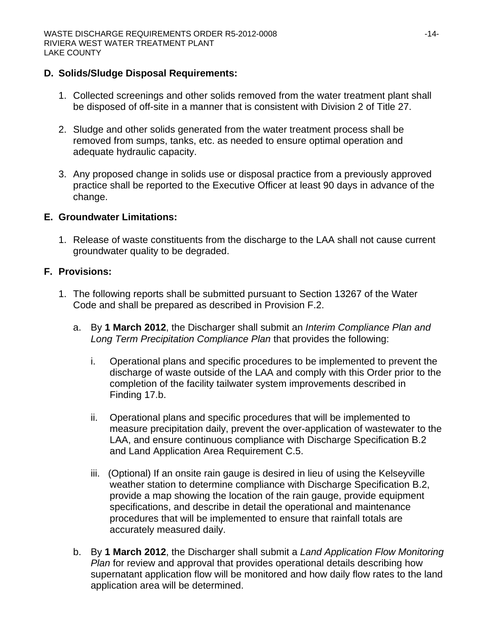#### **D. Solids/Sludge Disposal Requirements:**

- 1. Collected screenings and other solids removed from the water treatment plant shall be disposed of off-site in a manner that is consistent with Division 2 of Title 27.
- 2. Sludge and other solids generated from the water treatment process shall be removed from sumps, tanks, etc. as needed to ensure optimal operation and adequate hydraulic capacity.
- 3. Any proposed change in solids use or disposal practice from a previously approved practice shall be reported to the Executive Officer at least 90 days in advance of the change.

### **E. Groundwater Limitations:**

1. Release of waste constituents from the discharge to the LAA shall not cause current groundwater quality to be degraded.

# **F. Provisions:**

- 1. The following reports shall be submitted pursuant to Section 13267 of the Water Code and shall be prepared as described in Provision F.2.
	- a. By **1 March 2012**, the Discharger shall submit an *Interim Compliance Plan and Long Term Precipitation Compliance Plan* that provides the following:
		- i. Operational plans and specific procedures to be implemented to prevent the discharge of waste outside of the LAA and comply with this Order prior to the completion of the facility tailwater system improvements described in Finding 17.b.
		- ii. Operational plans and specific procedures that will be implemented to measure precipitation daily, prevent the over-application of wastewater to the LAA, and ensure continuous compliance with Discharge Specification B.2 and Land Application Area Requirement C.5.
		- iii. (Optional) If an onsite rain gauge is desired in lieu of using the Kelseyville weather station to determine compliance with Discharge Specification B.2, provide a map showing the location of the rain gauge, provide equipment specifications, and describe in detail the operational and maintenance procedures that will be implemented to ensure that rainfall totals are accurately measured daily.
	- b. By **1 March 2012**, the Discharger shall submit a *Land Application Flow Monitoring Plan* for review and approval that provides operational details describing how supernatant application flow will be monitored and how daily flow rates to the land application area will be determined.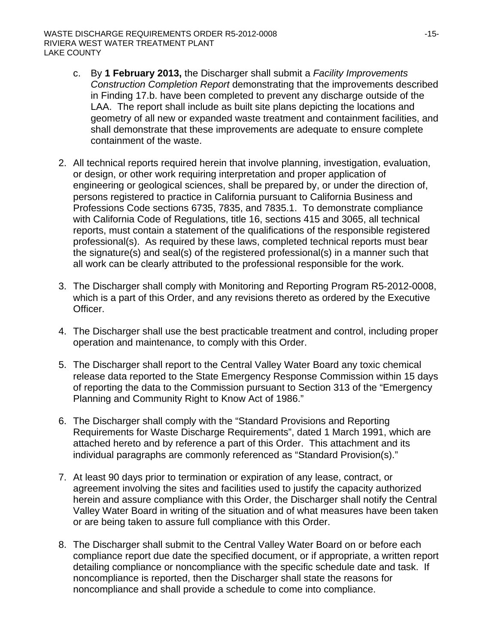- c. By **1 February 2013,** the Discharger shall submit a *Facility Improvements Construction Completion Report* demonstrating that the improvements described in Finding 17.b. have been completed to prevent any discharge outside of the LAA. The report shall include as built site plans depicting the locations and geometry of all new or expanded waste treatment and containment facilities, and shall demonstrate that these improvements are adequate to ensure complete containment of the waste.
- 2. All technical reports required herein that involve planning, investigation, evaluation, or design, or other work requiring interpretation and proper application of engineering or geological sciences, shall be prepared by, or under the direction of, persons registered to practice in California pursuant to California Business and Professions Code sections 6735, 7835, and 7835.1. To demonstrate compliance with California Code of Regulations, title 16, sections 415 and 3065, all technical reports, must contain a statement of the qualifications of the responsible registered professional(s). As required by these laws, completed technical reports must bear the signature(s) and seal(s) of the registered professional(s) in a manner such that all work can be clearly attributed to the professional responsible for the work.
- 3. The Discharger shall comply with Monitoring and Reporting Program R5-2012-0008, which is a part of this Order, and any revisions thereto as ordered by the Executive Officer.
- 4. The Discharger shall use the best practicable treatment and control, including proper operation and maintenance, to comply with this Order.
- 5. The Discharger shall report to the Central Valley Water Board any toxic chemical release data reported to the State Emergency Response Commission within 15 days of reporting the data to the Commission pursuant to Section 313 of the "Emergency Planning and Community Right to Know Act of 1986."
- 6. The Discharger shall comply with the "Standard Provisions and Reporting Requirements for Waste Discharge Requirements", dated 1 March 1991, which are attached hereto and by reference a part of this Order. This attachment and its individual paragraphs are commonly referenced as "Standard Provision(s)."
- 7. At least 90 days prior to termination or expiration of any lease, contract, or agreement involving the sites and facilities used to justify the capacity authorized herein and assure compliance with this Order, the Discharger shall notify the Central Valley Water Board in writing of the situation and of what measures have been taken or are being taken to assure full compliance with this Order.
- 8. The Discharger shall submit to the Central Valley Water Board on or before each compliance report due date the specified document, or if appropriate, a written report detailing compliance or noncompliance with the specific schedule date and task. If noncompliance is reported, then the Discharger shall state the reasons for noncompliance and shall provide a schedule to come into compliance.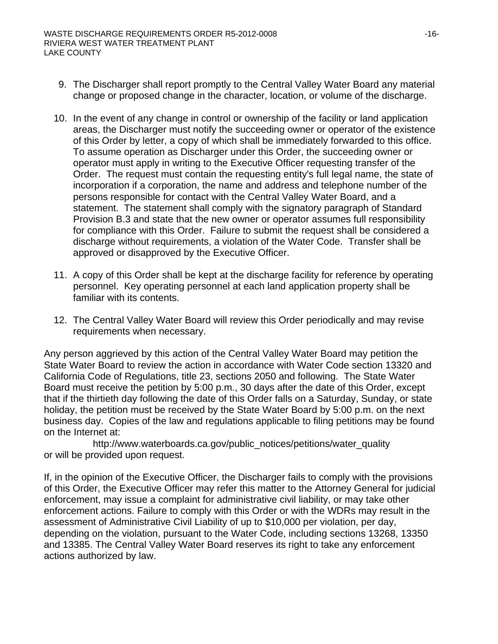- 9. The Discharger shall report promptly to the Central Valley Water Board any material change or proposed change in the character, location, or volume of the discharge.
- 10. In the event of any change in control or ownership of the facility or land application areas, the Discharger must notify the succeeding owner or operator of the existence of this Order by letter, a copy of which shall be immediately forwarded to this office. To assume operation as Discharger under this Order, the succeeding owner or operator must apply in writing to the Executive Officer requesting transfer of the Order. The request must contain the requesting entity's full legal name, the state of incorporation if a corporation, the name and address and telephone number of the persons responsible for contact with the Central Valley Water Board, and a statement. The statement shall comply with the signatory paragraph of Standard Provision B.3 and state that the new owner or operator assumes full responsibility for compliance with this Order. Failure to submit the request shall be considered a discharge without requirements, a violation of the Water Code. Transfer shall be approved or disapproved by the Executive Officer.
- 11. A copy of this Order shall be kept at the discharge facility for reference by operating personnel. Key operating personnel at each land application property shall be familiar with its contents.
- 12. The Central Valley Water Board will review this Order periodically and may revise requirements when necessary.

Any person aggrieved by this action of the Central Valley Water Board may petition the State Water Board to review the action in accordance with Water Code section 13320 and California Code of Regulations, title 23, sections 2050 and following. The State Water Board must receive the petition by 5:00 p.m., 30 days after the date of this Order, except that if the thirtieth day following the date of this Order falls on a Saturday, Sunday, or state holiday, the petition must be received by the State Water Board by 5:00 p.m. on the next business day. Copies of the law and regulations applicable to filing petitions may be found on the Internet at:

http://www.waterboards.ca.gov/public\_notices/petitions/water\_quality or will be provided upon request.

If, in the opinion of the Executive Officer, the Discharger fails to comply with the provisions of this Order, the Executive Officer may refer this matter to the Attorney General for judicial enforcement, may issue a complaint for administrative civil liability, or may take other enforcement actions. Failure to comply with this Order or with the WDRs may result in the assessment of Administrative Civil Liability of up to \$10,000 per violation, per day, depending on the violation, pursuant to the Water Code, including sections 13268, 13350 and 13385. The Central Valley Water Board reserves its right to take any enforcement actions authorized by law.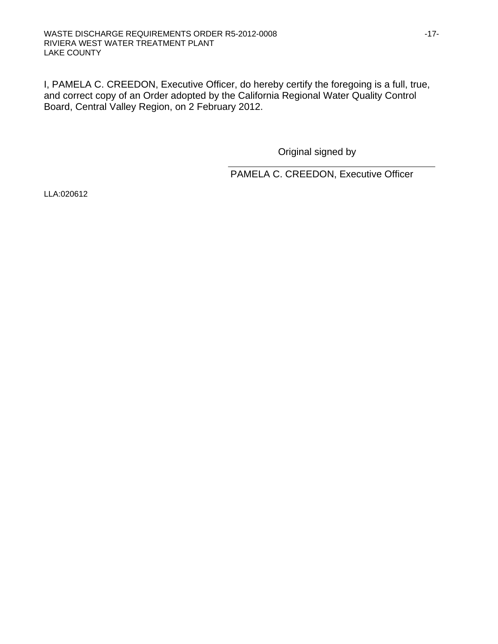I, PAMELA C. CREEDON, Executive Officer, do hereby certify the foregoing is a full, true, and correct copy of an Order adopted by the California Regional Water Quality Control Board, Central Valley Region, on 2 February 2012.

 $\overline{a}$ 

Original signed by

PAMELA C. CREEDON, Executive Officer

LLA:020612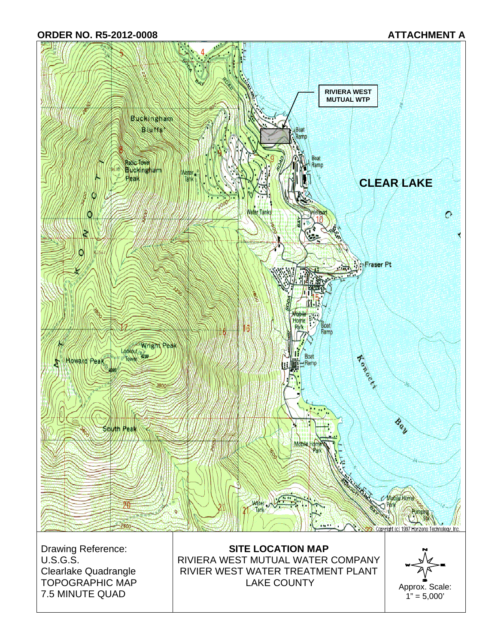**ORDER NO. R5-2012-0008 ATTACHMENT A** 



Drawing Reference: U.S.G.S. Clearlake Quadrangle TOPOGRAPHIC MAP 7.5 MINUTE QUAD

**SITE LOCATION MAP**  RIVIERA WEST MUTUAL WATER COMPANY RIVIER WEST WATER TREATMENT PLANT LAKE COUNTY Approx. Scale:

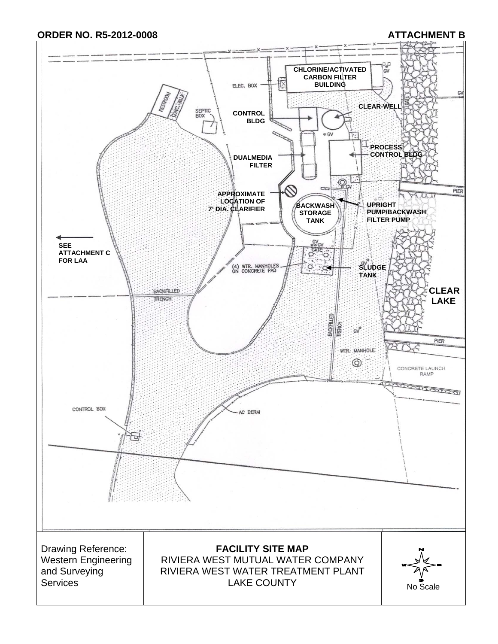**ORDER NO. R5-2012-0008 ATTACHMENT B** 

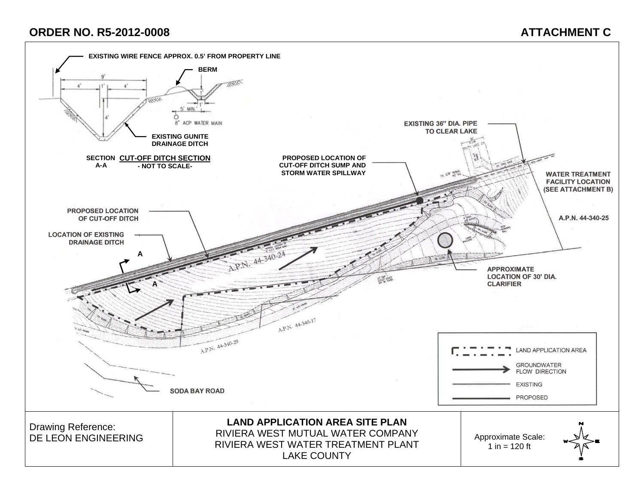# **ORDER NO. R5-2012-0008 ATTACHMENT C**

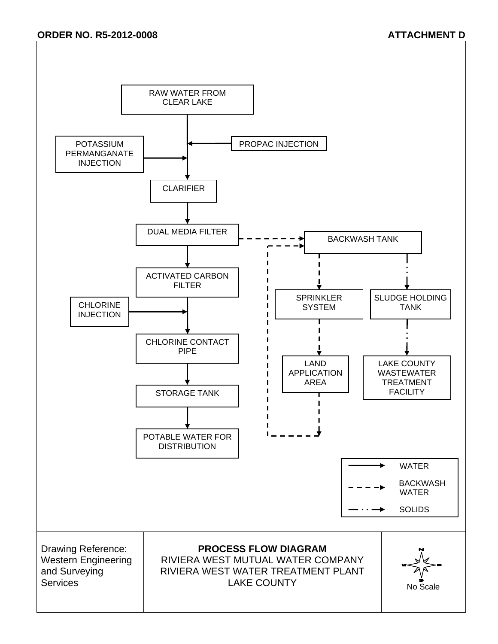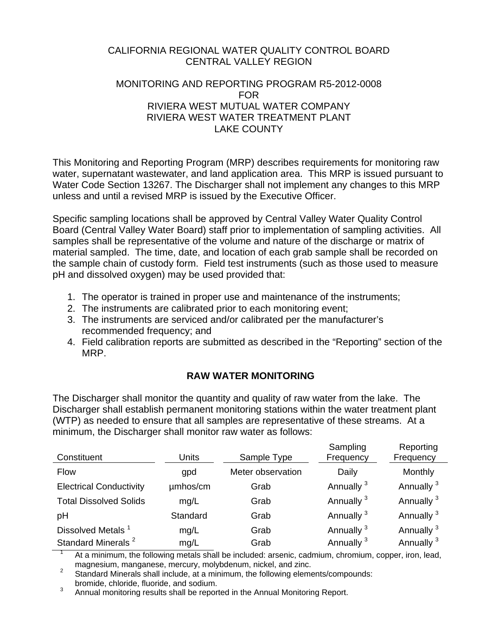### CALIFORNIA REGIONAL WATER QUALITY CONTROL BOARD CENTRAL VALLEY REGION

#### MONITORING AND REPORTING PROGRAM R5-2012-0008 FOR RIVIERA WEST MUTUAL WATER COMPANY RIVIERA WEST WATER TREATMENT PLANT LAKE COUNTY

This Monitoring and Reporting Program (MRP) describes requirements for monitoring raw water, supernatant wastewater, and land application area. This MRP is issued pursuant to Water Code Section 13267. The Discharger shall not implement any changes to this MRP unless and until a revised MRP is issued by the Executive Officer.

Specific sampling locations shall be approved by Central Valley Water Quality Control Board (Central Valley Water Board) staff prior to implementation of sampling activities. All samples shall be representative of the volume and nature of the discharge or matrix of material sampled. The time, date, and location of each grab sample shall be recorded on the sample chain of custody form. Field test instruments (such as those used to measure pH and dissolved oxygen) may be used provided that:

- 1. The operator is trained in proper use and maintenance of the instruments;
- 2. The instruments are calibrated prior to each monitoring event;
- 3. The instruments are serviced and/or calibrated per the manufacturer's recommended frequency; and
- 4. Field calibration reports are submitted as described in the "Reporting" section of the MRP.

# **RAW WATER MONITORING**

The Discharger shall monitor the quantity and quality of raw water from the lake. The Discharger shall establish permanent monitoring stations within the water treatment plant (WTP) as needed to ensure that all samples are representative of these streams. At a minimum, the Discharger shall monitor raw water as follows:

| Constituent                    | Units    | Sample Type       | Sampling<br>Frequency | Reporting<br>Frequency |
|--------------------------------|----------|-------------------|-----------------------|------------------------|
| <b>Flow</b>                    | gpd      | Meter observation | Daily                 | Monthly                |
| <b>Electrical Conductivity</b> | umhos/cm | Grab              | Annually <sup>3</sup> | Annually <sup>3</sup>  |
| <b>Total Dissolved Solids</b>  | mq/L     | Grab              | Annually <sup>3</sup> | Annually <sup>3</sup>  |
| pH                             | Standard | Grab              | Annually <sup>3</sup> | Annually <sup>3</sup>  |
| Dissolved Metals <sup>1</sup>  | mg/L     | Grab              | Annually <sup>3</sup> | Annually <sup>3</sup>  |
| Standard Minerals <sup>2</sup> | mg/L     | Grab              | Annually <sup>3</sup> | Annually <sup>3</sup>  |

1 At a minimum, the following metals shall be included: arsenic, cadmium, chromium, copper, iron, lead, magnesium, manganese, mercury, molybdenum, nickel, and zinc.<br>
<sup>2</sup> Standard Minerals abellingly de a minimum, the following alama

3 Annual monitoring results shall be reported in the Annual Monitoring Report.

Standard Minerals shall include, at a minimum, the following elements/compounds: bromide, chloride, fluoride, and sodium.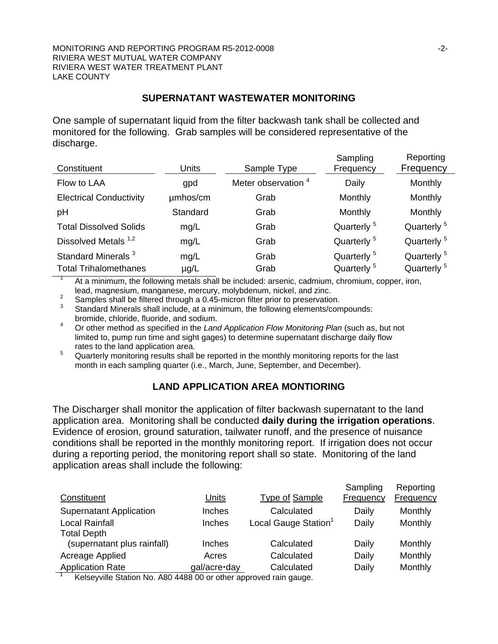#### **SUPERNATANT WASTEWATER MONITORING**

One sample of supernatant liquid from the filter backwash tank shall be collected and monitored for the following. Grab samples will be considered representative of the discharge.

| Constituent                                                    | <b>Units</b>      | Sample Type                    | Sampling<br>Frequency                            | Reporting<br>Frequency                           |
|----------------------------------------------------------------|-------------------|--------------------------------|--------------------------------------------------|--------------------------------------------------|
| Flow to LAA                                                    | gpd               | Meter observation <sup>4</sup> | Daily                                            | Monthly                                          |
| <b>Electrical Conductivity</b>                                 | umhos/cm          | Grab                           | Monthly                                          | Monthly                                          |
| pH                                                             | Standard          | Grab                           | Monthly                                          | Monthly                                          |
| <b>Total Dissolved Solids</b>                                  | mg/L              | Grab                           | Quarterly <sup>5</sup>                           | Quarterly <sup>5</sup>                           |
| Dissolved Metals <sup>1,2</sup>                                | mg/L              | Grab                           | Quarterly <sup>5</sup>                           | Quarterly <sup>5</sup>                           |
| Standard Minerals <sup>3</sup><br><b>Total Trihalomethanes</b> | mg/L<br>$\mu$ g/L | Grab<br>Grab                   | Quarterly <sup>5</sup><br>Quarterly <sup>5</sup> | Quarterly <sup>5</sup><br>Quarterly <sup>5</sup> |

At a minimum, the following metals shall be included: arsenic, cadmium, chromium, copper, iron, lead, magnesium, manganese, mercury, molybdenum, nickel, and zinc. 2

 $\frac{2}{3}$  Samples shall be filtered through a 0.45-micron filter prior to preservation.

- Standard Minerals shall include, at a minimum, the following elements/compounds: bromide, chloride, fluoride, and sodium.
- 4 Or other method as specified in the *Land Application Flow Monitoring Plan* (such as, but not limited to, pump run time and sight gages) to determine supernatant discharge daily flow rates to the land application area.
- 5 Quarterly monitoring results shall be reported in the monthly monitoring reports for the last month in each sampling quarter (i.e., March, June, September, and December).

#### **LAND APPLICATION AREA MONTIORING**

The Discharger shall monitor the application of filter backwash supernatant to the land application area. Monitoring shall be conducted **daily during the irrigation operations**. Evidence of erosion, ground saturation, tailwater runoff, and the presence of nuisance conditions shall be reported in the monthly monitoring report. If irrigation does not occur during a reporting period, the monitoring report shall so state. Monitoring of the land application areas shall include the following:

| Constituent                                                      | Units         | Type of Sample                   | Sampling<br>Frequency | Reporting<br>Frequency |
|------------------------------------------------------------------|---------------|----------------------------------|-----------------------|------------------------|
| <b>Supernatant Application</b>                                   | Inches        | Calculated                       | Daily                 | Monthly                |
| <b>Local Rainfall</b>                                            | <b>Inches</b> | Local Gauge Station <sup>1</sup> | Daily                 | Monthly                |
| <b>Total Depth</b>                                               |               |                                  |                       |                        |
| (supernatant plus rainfall)                                      | <b>Inches</b> | Calculated                       | Daily                 | Monthly                |
| Acreage Applied                                                  | Acres         | Calculated                       | Daily                 | Monthly                |
| <b>Application Rate</b>                                          | gal/acre·day  | Calculated                       | Daily                 | Monthly                |
| Kaleougilla Ptotion No. 000 4400.00 or other eppround roin gouge |               |                                  |                       |                        |

Kelseyville Station No. A80 4488 00 or other approved rain gauge.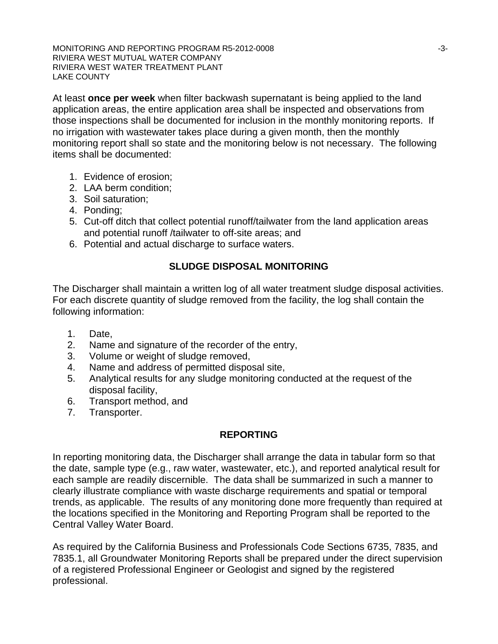MONITORING AND REPORTING PROGRAM R5-2012-0008  $\sim$ 3-3-RIVIERA WEST MUTUAL WATER COMPANY RIVIERA WEST WATER TREATMENT PLANT LAKE COUNTY

At least **once per week** when filter backwash supernatant is being applied to the land application areas, the entire application area shall be inspected and observations from those inspections shall be documented for inclusion in the monthly monitoring reports. If no irrigation with wastewater takes place during a given month, then the monthly monitoring report shall so state and the monitoring below is not necessary. The following items shall be documented:

- 1. Evidence of erosion;
- 2. LAA berm condition;
- 3. Soil saturation;
- 4. Ponding;
- 5. Cut-off ditch that collect potential runoff/tailwater from the land application areas and potential runoff /tailwater to off-site areas; and
- 6. Potential and actual discharge to surface waters.

# **SLUDGE DISPOSAL MONITORING**

The Discharger shall maintain a written log of all water treatment sludge disposal activities. For each discrete quantity of sludge removed from the facility, the log shall contain the following information:

- 1. Date,
- 2. Name and signature of the recorder of the entry,
- 3. Volume or weight of sludge removed,
- 4. Name and address of permitted disposal site,
- 5. Analytical results for any sludge monitoring conducted at the request of the disposal facility,
- 6. Transport method, and
- 7. Transporter.

# **REPORTING**

In reporting monitoring data, the Discharger shall arrange the data in tabular form so that the date, sample type (e.g., raw water, wastewater, etc.), and reported analytical result for each sample are readily discernible. The data shall be summarized in such a manner to clearly illustrate compliance with waste discharge requirements and spatial or temporal trends, as applicable. The results of any monitoring done more frequently than required at the locations specified in the Monitoring and Reporting Program shall be reported to the Central Valley Water Board.

As required by the California Business and Professionals Code Sections 6735, 7835, and 7835.1, all Groundwater Monitoring Reports shall be prepared under the direct supervision of a registered Professional Engineer or Geologist and signed by the registered professional.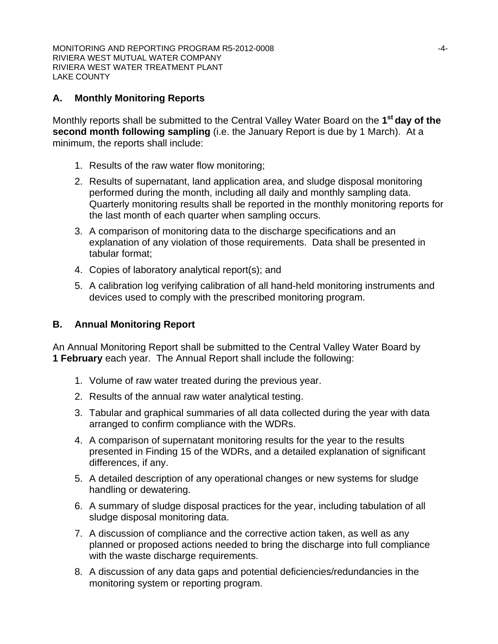# **A. Monthly Monitoring Reports**

Monthly reports shall be submitted to the Central Valley Water Board on the **1st day of the second month following sampling** (i.e. the January Report is due by 1 March). At a minimum, the reports shall include:

- 1. Results of the raw water flow monitoring;
- 2. Results of supernatant, land application area, and sludge disposal monitoring performed during the month, including all daily and monthly sampling data. Quarterly monitoring results shall be reported in the monthly monitoring reports for the last month of each quarter when sampling occurs.
- 3. A comparison of monitoring data to the discharge specifications and an explanation of any violation of those requirements. Data shall be presented in tabular format;
- 4. Copies of laboratory analytical report(s); and
- 5. A calibration log verifying calibration of all hand-held monitoring instruments and devices used to comply with the prescribed monitoring program.

# **B. Annual Monitoring Report**

An Annual Monitoring Report shall be submitted to the Central Valley Water Board by **1 February** each year. The Annual Report shall include the following:

- 1. Volume of raw water treated during the previous year.
- 2. Results of the annual raw water analytical testing.
- 3. Tabular and graphical summaries of all data collected during the year with data arranged to confirm compliance with the WDRs.
- 4. A comparison of supernatant monitoring results for the year to the results presented in Finding 15 of the WDRs, and a detailed explanation of significant differences, if any.
- 5. A detailed description of any operational changes or new systems for sludge handling or dewatering.
- 6. A summary of sludge disposal practices for the year, including tabulation of all sludge disposal monitoring data.
- 7. A discussion of compliance and the corrective action taken, as well as any planned or proposed actions needed to bring the discharge into full compliance with the waste discharge requirements.
- 8. A discussion of any data gaps and potential deficiencies/redundancies in the monitoring system or reporting program.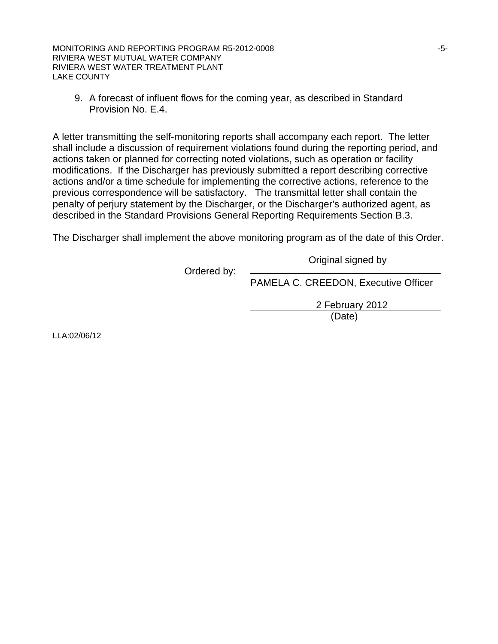MONITORING AND REPORTING PROGRAM R5-2012-0008  $-5$ -RIVIERA WEST MUTUAL WATER COMPANY RIVIERA WEST WATER TREATMENT PLANT LAKE COUNTY

9. A forecast of influent flows for the coming year, as described in Standard Provision No. E.4.

A letter transmitting the self-monitoring reports shall accompany each report. The letter shall include a discussion of requirement violations found during the reporting period, and actions taken or planned for correcting noted violations, such as operation or facility modifications. If the Discharger has previously submitted a report describing corrective actions and/or a time schedule for implementing the corrective actions, reference to the previous correspondence will be satisfactory. The transmittal letter shall contain the penalty of perjury statement by the Discharger, or the Discharger's authorized agent, as described in the Standard Provisions General Reporting Requirements Section B.3.

The Discharger shall implement the above monitoring program as of the date of this Order.

Original signed by

Ordered by:

PAMELA C. CREEDON, Executive Officer

 2 February 2012 (Date)

LLA:02/06/12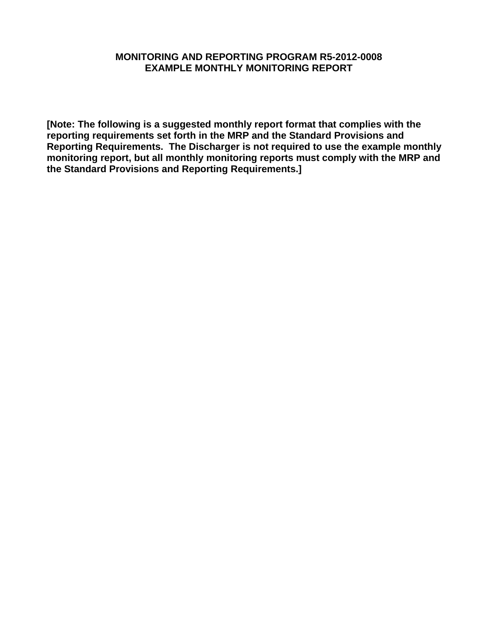#### **MONITORING AND REPORTING PROGRAM R5-2012-0008 EXAMPLE MONTHLY MONITORING REPORT**

**[Note: The following is a suggested monthly report format that complies with the reporting requirements set forth in the MRP and the Standard Provisions and Reporting Requirements. The Discharger is not required to use the example monthly monitoring report, but all monthly monitoring reports must comply with the MRP and the Standard Provisions and Reporting Requirements.]**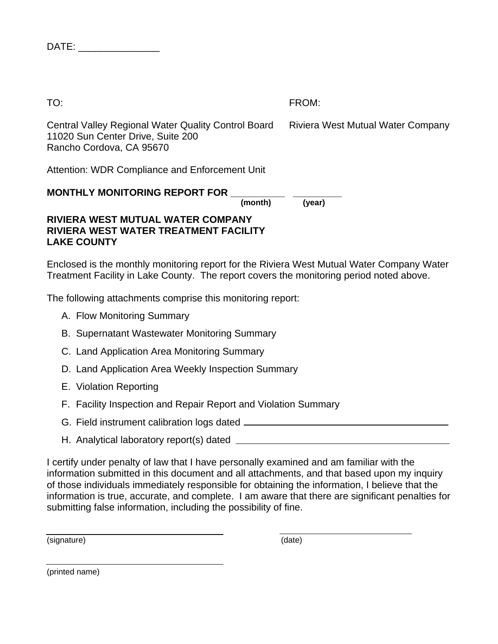| "<br>$\sim$ $-$ |  |
|-----------------|--|
|-----------------|--|

TO: FROM:

Riviera West Mutual Water Company

Central Valley Regional Water Quality Control Board 11020 Sun Center Drive, Suite 200 Rancho Cordova, CA 95670

Attention: WDR Compliance and Enforcement Unit

| <b>MONTHLY MONITORING REPORT FOR</b>  |         |        |
|---------------------------------------|---------|--------|
|                                       | (month) | (year) |
| RIVIERA WEST MUTUAL WATER COMPANY     |         |        |
| BUJEBA WEAT WATER TREATMENT EA AU ITV |         |        |

**RIVIERA WEST WATER TREATMENT FACILITY LAKE COUNTY** 

Enclosed is the monthly monitoring report for the Riviera West Mutual Water Company Water Treatment Facility in Lake County. The report covers the monitoring period noted above.

The following attachments comprise this monitoring report:

- A. Flow Monitoring Summary
- B. Supernatant Wastewater Monitoring Summary
- C. Land Application Area Monitoring Summary
- D. Land Application Area Weekly Inspection Summary
- E. Violation Reporting
- F. Facility Inspection and Repair Report and Violation Summary
- G. Field instrument calibration logs dated
- H. Analytical laboratory report(s) dated

I certify under penalty of law that I have personally examined and am familiar with the information submitted in this document and all attachments, and that based upon my inquiry of those individuals immediately responsible for obtaining the information, I believe that the information is true, accurate, and complete. I am aware that there are significant penalties for submitting false information, including the possibility of fine.

(signature) (date)

(printed name)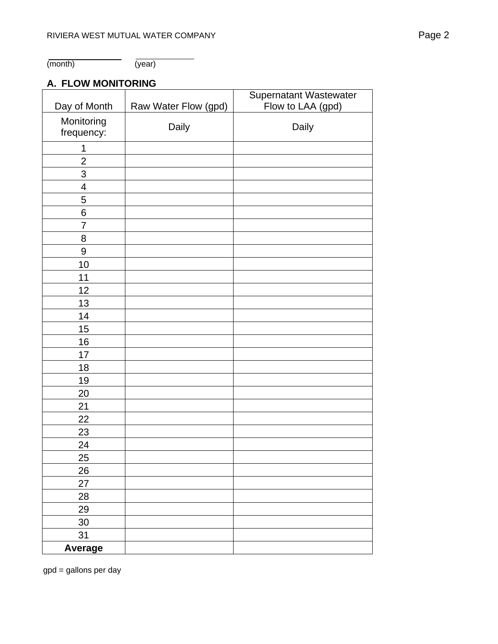(month) (year)

# **A. FLOW MONITORING**

|                          |                      | Supernatant Wastewater |
|--------------------------|----------------------|------------------------|
| Day of Month             | Raw Water Flow (gpd) | Flow to LAA (gpd)      |
| Monitoring<br>frequency: | Daily                | Daily                  |
| 1                        |                      |                        |
| $\overline{2}$           |                      |                        |
| 3                        |                      |                        |
| 4                        |                      |                        |
| 5                        |                      |                        |
| 6                        |                      |                        |
| 7                        |                      |                        |
| 8                        |                      |                        |
| 9                        |                      |                        |
| 10                       |                      |                        |
| 11                       |                      |                        |
| 12                       |                      |                        |
| 13                       |                      |                        |
| 14                       |                      |                        |
| 15                       |                      |                        |
| 16                       |                      |                        |
| 17                       |                      |                        |
| 18                       |                      |                        |
| 19                       |                      |                        |
| 20                       |                      |                        |
| 21                       |                      |                        |
| 22                       |                      |                        |
| 23                       |                      |                        |
| 24                       |                      |                        |
| 25                       |                      |                        |
| 26                       |                      |                        |
| 27                       |                      |                        |
| 28                       |                      |                        |
| 29                       |                      |                        |
| $30\,$                   |                      |                        |
| 31                       |                      |                        |
| <b>Average</b>           |                      |                        |

gpd = gallons per day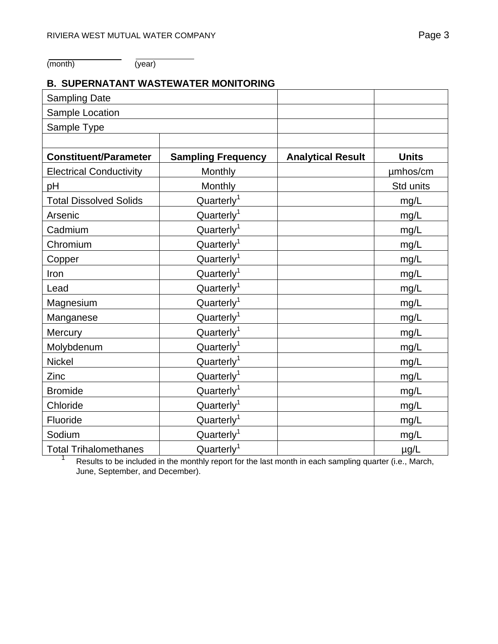(month) (year)

1

# **B. SUPERNATANT WASTEWATER MONITORING**

| <b>Sampling Date</b>           |                           |                          |              |
|--------------------------------|---------------------------|--------------------------|--------------|
| Sample Location                |                           |                          |              |
| Sample Type                    |                           |                          |              |
|                                |                           |                          |              |
| <b>Constituent/Parameter</b>   | <b>Sampling Frequency</b> | <b>Analytical Result</b> | <b>Units</b> |
| <b>Electrical Conductivity</b> | Monthly                   |                          | umhos/cm     |
| pH                             | Monthly                   |                          | Std units    |
| <b>Total Dissolved Solids</b>  | Quarterly <sup>1</sup>    |                          | mg/L         |
| Arsenic                        | Quarterly <sup>1</sup>    |                          | mg/L         |
| Cadmium                        | Quarterly <sup>1</sup>    |                          | mg/L         |
| Chromium                       | Quarterly <sup>1</sup>    |                          | mg/L         |
| Copper                         | Quarterly <sup>1</sup>    |                          | mg/L         |
| Iron                           | Quarterly <sup>1</sup>    |                          | mg/L         |
| Lead                           | Quarterly <sup>1</sup>    |                          | mg/L         |
| Magnesium                      | Quarterly <sup>1</sup>    |                          | mg/L         |
| Manganese                      | Quarterly <sup>1</sup>    |                          | mg/L         |
| Mercury                        | Quarterly <sup>1</sup>    |                          | mg/L         |
| Molybdenum                     | Quarterly <sup>1</sup>    |                          | mg/L         |
| <b>Nickel</b>                  | Quarterly <sup>1</sup>    |                          | mg/L         |
| Zinc                           | Quarterly <sup>1</sup>    |                          | mg/L         |
| <b>Bromide</b>                 | Quarterly <sup>1</sup>    |                          | mg/L         |
| Chloride                       | Quarterly <sup>1</sup>    |                          | mg/L         |
| Fluoride                       | Quarterly <sup>1</sup>    |                          | mg/L         |
| Sodium                         | Quarterly <sup>1</sup>    |                          | mg/L         |
| <b>Total Trihalomethanes</b>   | Quarterly <sup>1</sup>    |                          | $\mu$ g/L    |

 Results to be included in the monthly report for the last month in each sampling quarter (i.e., March, June, September, and December).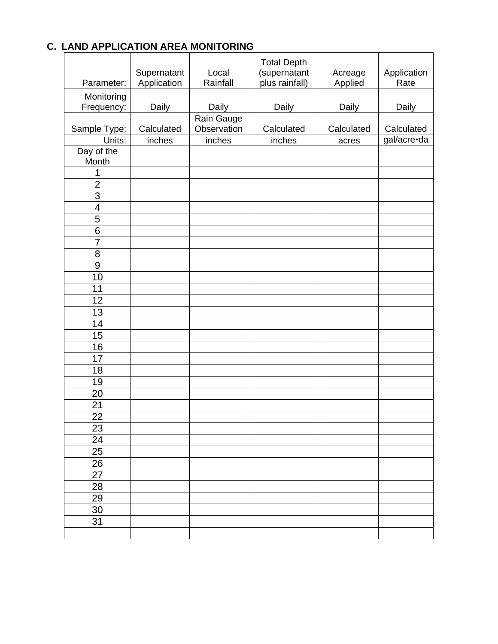# **C. LAND APPLICATION AREA MONITORING**

|                          |                            |                   | <b>Total Depth</b>             |                    |                     |
|--------------------------|----------------------------|-------------------|--------------------------------|--------------------|---------------------|
| Parameter:               | Supernatant<br>Application | Local<br>Rainfall | (supernatant<br>plus rainfall) | Acreage<br>Applied | Application<br>Rate |
| Monitoring               |                            |                   |                                |                    |                     |
| Frequency:               | Daily                      | Daily             | Daily                          | Daily              | Daily               |
|                          |                            | Rain Gauge        |                                |                    |                     |
| Sample Type:             | Calculated                 | Observation       | Calculated                     | Calculated         | Calculated          |
| Units:                   | inches                     | inches            | inches                         | acres              | gal/acre·da         |
| Day of the               |                            |                   |                                |                    |                     |
| Month                    |                            |                   |                                |                    |                     |
| 1                        |                            |                   |                                |                    |                     |
| $\overline{2}$           |                            |                   |                                |                    |                     |
| 3                        |                            |                   |                                |                    |                     |
| $\overline{\mathcal{A}}$ |                            |                   |                                |                    |                     |
| 5                        |                            |                   |                                |                    |                     |
| $6\phantom{1}6$          |                            |                   |                                |                    |                     |
| $\overline{7}$           |                            |                   |                                |                    |                     |
| 8                        |                            |                   |                                |                    |                     |
| 9                        |                            |                   |                                |                    |                     |
| 10                       |                            |                   |                                |                    |                     |
| 11                       |                            |                   |                                |                    |                     |
| 12                       |                            |                   |                                |                    |                     |
| 13                       |                            |                   |                                |                    |                     |
| 14                       |                            |                   |                                |                    |                     |
| 15                       |                            |                   |                                |                    |                     |
| 16                       |                            |                   |                                |                    |                     |
| 17                       |                            |                   |                                |                    |                     |
| 18                       |                            |                   |                                |                    |                     |
| 19                       |                            |                   |                                |                    |                     |
| 20                       |                            |                   |                                |                    |                     |
| 21                       |                            |                   |                                |                    |                     |
| $\overline{22}$          |                            |                   |                                |                    |                     |
| 23                       |                            |                   |                                |                    |                     |
| 24                       |                            |                   |                                |                    |                     |
| 25                       |                            |                   |                                |                    |                     |
| 26                       |                            |                   |                                |                    |                     |
| 27                       |                            |                   |                                |                    |                     |
| 28                       |                            |                   |                                |                    |                     |
| 29                       |                            |                   |                                |                    |                     |
| 30                       |                            |                   |                                |                    |                     |
| 31                       |                            |                   |                                |                    |                     |
|                          |                            |                   |                                |                    |                     |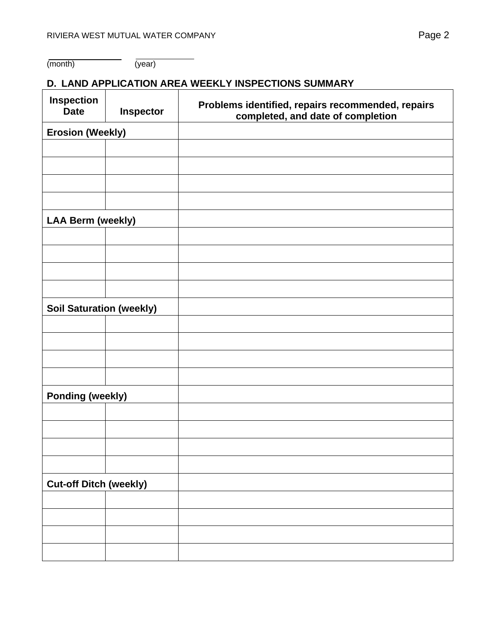# **D. LAND APPLICATION AREA WEEKLY INSPECTIONS SUMMARY**

| <b>Inspection</b><br><b>Date</b> | Inspector | Problems identified, repairs recommended, repairs<br>completed, and date of completion |
|----------------------------------|-----------|----------------------------------------------------------------------------------------|
| <b>Erosion (Weekly)</b>          |           |                                                                                        |
|                                  |           |                                                                                        |
|                                  |           |                                                                                        |
|                                  |           |                                                                                        |
|                                  |           |                                                                                        |
| <b>LAA Berm (weekly)</b>         |           |                                                                                        |
|                                  |           |                                                                                        |
|                                  |           |                                                                                        |
|                                  |           |                                                                                        |
|                                  |           |                                                                                        |
| <b>Soil Saturation (weekly)</b>  |           |                                                                                        |
|                                  |           |                                                                                        |
|                                  |           |                                                                                        |
|                                  |           |                                                                                        |
|                                  |           |                                                                                        |
| <b>Ponding (weekly)</b>          |           |                                                                                        |
|                                  |           |                                                                                        |
|                                  |           |                                                                                        |
|                                  |           |                                                                                        |
|                                  |           |                                                                                        |
| <b>Cut-off Ditch (weekly)</b>    |           |                                                                                        |
|                                  |           |                                                                                        |
|                                  |           |                                                                                        |
|                                  |           |                                                                                        |
|                                  |           |                                                                                        |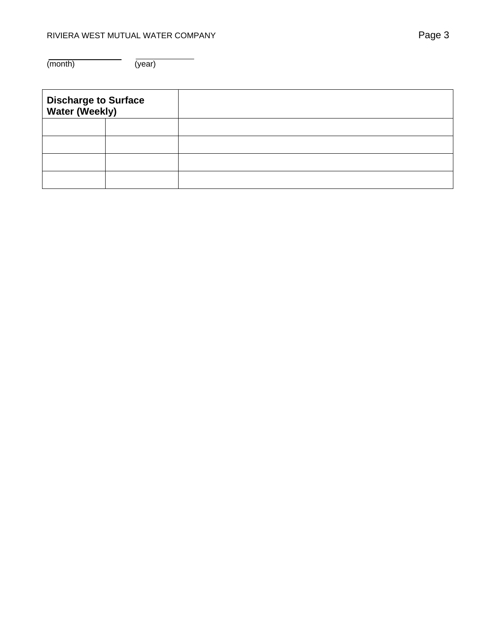(month) (year)

| <b>Discharge to Surface<br/>Water (Weekly)</b> |  |  |
|------------------------------------------------|--|--|
|                                                |  |  |
|                                                |  |  |
|                                                |  |  |
|                                                |  |  |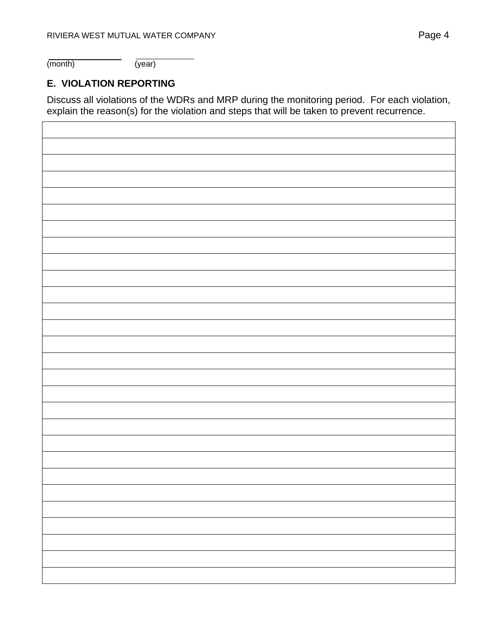(month) (year)

# **E. VIOLATION REPORTING**

Discuss all violations of the WDRs and MRP during the monitoring period. For each violation, explain the reason(s) for the violation and steps that will be taken to prevent recurrence.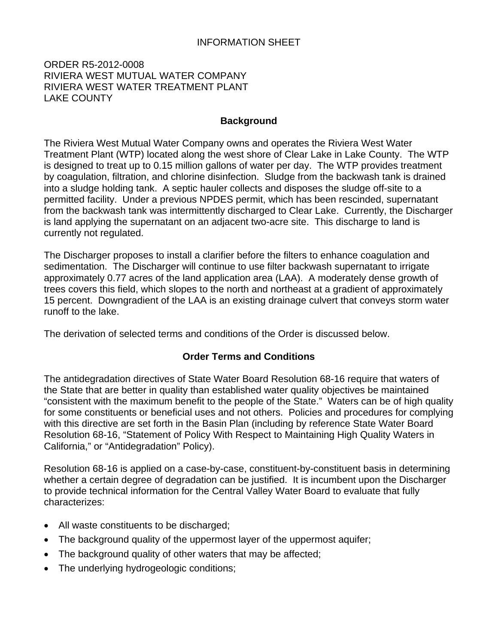#### ORDER R5-2012-0008 RIVIERA WEST MUTUAL WATER COMPANY RIVIERA WEST WATER TREATMENT PLANT LAKE COUNTY

#### **Background**

The Riviera West Mutual Water Company owns and operates the Riviera West Water Treatment Plant (WTP) located along the west shore of Clear Lake in Lake County. The WTP is designed to treat up to 0.15 million gallons of water per day. The WTP provides treatment by coagulation, filtration, and chlorine disinfection. Sludge from the backwash tank is drained into a sludge holding tank. A septic hauler collects and disposes the sludge off-site to a permitted facility. Under a previous NPDES permit, which has been rescinded, supernatant from the backwash tank was intermittently discharged to Clear Lake. Currently, the Discharger is land applying the supernatant on an adjacent two-acre site. This discharge to land is currently not regulated.

The Discharger proposes to install a clarifier before the filters to enhance coagulation and sedimentation. The Discharger will continue to use filter backwash supernatant to irrigate approximately 0.77 acres of the land application area (LAA). A moderately dense growth of trees covers this field, which slopes to the north and northeast at a gradient of approximately 15 percent. Downgradient of the LAA is an existing drainage culvert that conveys storm water runoff to the lake.

The derivation of selected terms and conditions of the Order is discussed below.

# **Order Terms and Conditions**

The antidegradation directives of State Water Board Resolution 68-16 require that waters of the State that are better in quality than established water quality objectives be maintained "consistent with the maximum benefit to the people of the State." Waters can be of high quality for some constituents or beneficial uses and not others. Policies and procedures for complying with this directive are set forth in the Basin Plan (including by reference State Water Board Resolution 68-16, "Statement of Policy With Respect to Maintaining High Quality Waters in California," or "Antidegradation" Policy).

Resolution 68-16 is applied on a case-by-case, constituent-by-constituent basis in determining whether a certain degree of degradation can be justified. It is incumbent upon the Discharger to provide technical information for the Central Valley Water Board to evaluate that fully characterizes:

- All waste constituents to be discharged;
- The background quality of the uppermost layer of the uppermost aquifer;
- The background quality of other waters that may be affected;
- The underlying hydrogeologic conditions;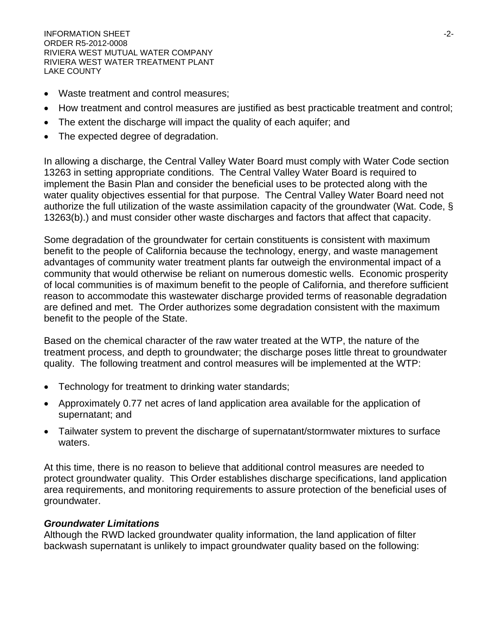INFORMATION SHEET  $\sim$ ORDER R5-2012-0008 RIVIERA WEST MUTUAL WATER COMPANY RIVIERA WEST WATER TREATMENT PLANT LAKE COUNTY

- Waste treatment and control measures;
- How treatment and control measures are justified as best practicable treatment and control;
- The extent the discharge will impact the quality of each aquifer; and
- The expected degree of degradation.

In allowing a discharge, the Central Valley Water Board must comply with Water Code section 13263 in setting appropriate conditions. The Central Valley Water Board is required to implement the Basin Plan and consider the beneficial uses to be protected along with the water quality objectives essential for that purpose. The Central Valley Water Board need not authorize the full utilization of the waste assimilation capacity of the groundwater (Wat. Code, § 13263(b).) and must consider other waste discharges and factors that affect that capacity.

Some degradation of the groundwater for certain constituents is consistent with maximum benefit to the people of California because the technology, energy, and waste management advantages of community water treatment plants far outweigh the environmental impact of a community that would otherwise be reliant on numerous domestic wells. Economic prosperity of local communities is of maximum benefit to the people of California, and therefore sufficient reason to accommodate this wastewater discharge provided terms of reasonable degradation are defined and met. The Order authorizes some degradation consistent with the maximum benefit to the people of the State.

Based on the chemical character of the raw water treated at the WTP, the nature of the treatment process, and depth to groundwater; the discharge poses little threat to groundwater quality. The following treatment and control measures will be implemented at the WTP:

- Technology for treatment to drinking water standards;
- Approximately 0.77 net acres of land application area available for the application of supernatant; and
- Tailwater system to prevent the discharge of supernatant/stormwater mixtures to surface waters.

At this time, there is no reason to believe that additional control measures are needed to protect groundwater quality. This Order establishes discharge specifications, land application area requirements, and monitoring requirements to assure protection of the beneficial uses of groundwater.

#### *Groundwater Limitations*

Although the RWD lacked groundwater quality information, the land application of filter backwash supernatant is unlikely to impact groundwater quality based on the following: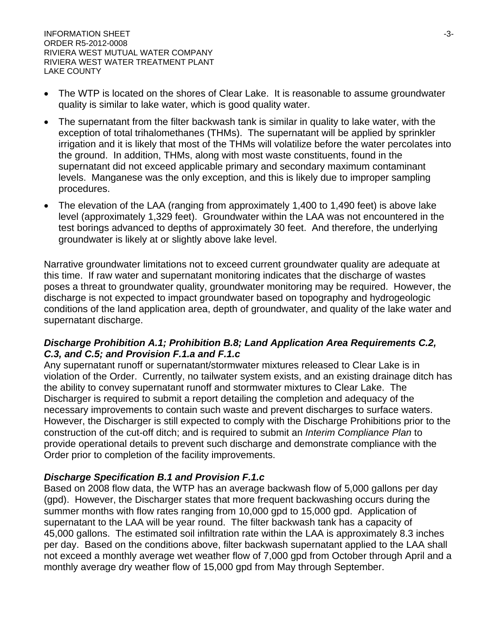$\blacksquare$ INFORMATION SHEET  $\blacksquare$ ORDER R5-2012-0008 RIVIERA WEST MUTUAL WATER COMPANY RIVIERA WEST WATER TREATMENT PLANT LAKE COUNTY

- The WTP is located on the shores of Clear Lake. It is reasonable to assume groundwater quality is similar to lake water, which is good quality water.
- The supernatant from the filter backwash tank is similar in quality to lake water, with the exception of total trihalomethanes (THMs). The supernatant will be applied by sprinkler irrigation and it is likely that most of the THMs will volatilize before the water percolates into the ground. In addition, THMs, along with most waste constituents, found in the supernatant did not exceed applicable primary and secondary maximum contaminant levels. Manganese was the only exception, and this is likely due to improper sampling procedures.
- The elevation of the LAA (ranging from approximately 1,400 to 1,490 feet) is above lake level (approximately 1,329 feet). Groundwater within the LAA was not encountered in the test borings advanced to depths of approximately 30 feet. And therefore, the underlying groundwater is likely at or slightly above lake level.

Narrative groundwater limitations not to exceed current groundwater quality are adequate at this time. If raw water and supernatant monitoring indicates that the discharge of wastes poses a threat to groundwater quality, groundwater monitoring may be required. However, the discharge is not expected to impact groundwater based on topography and hydrogeologic conditions of the land application area, depth of groundwater, and quality of the lake water and supernatant discharge.

#### *Discharge Prohibition A.1; Prohibition B.8; Land Application Area Requirements C.2, C.3, and C.5; and Provision F.1.a and F.1.c*

Any supernatant runoff or supernatant/stormwater mixtures released to Clear Lake is in violation of the Order. Currently, no tailwater system exists, and an existing drainage ditch has the ability to convey supernatant runoff and stormwater mixtures to Clear Lake. The Discharger is required to submit a report detailing the completion and adequacy of the necessary improvements to contain such waste and prevent discharges to surface waters. However, the Discharger is still expected to comply with the Discharge Prohibitions prior to the construction of the cut-off ditch; and is required to submit an *Interim Compliance Plan* to provide operational details to prevent such discharge and demonstrate compliance with the Order prior to completion of the facility improvements.

#### *Discharge Specification B.1 and Provision F.1.c*

Based on 2008 flow data, the WTP has an average backwash flow of 5,000 gallons per day (gpd). However, the Discharger states that more frequent backwashing occurs during the summer months with flow rates ranging from 10,000 gpd to 15,000 gpd. Application of supernatant to the LAA will be year round. The filter backwash tank has a capacity of 45,000 gallons. The estimated soil infiltration rate within the LAA is approximately 8.3 inches per day. Based on the conditions above, filter backwash supernatant applied to the LAA shall not exceed a monthly average wet weather flow of 7,000 gpd from October through April and a monthly average dry weather flow of 15,000 gpd from May through September.